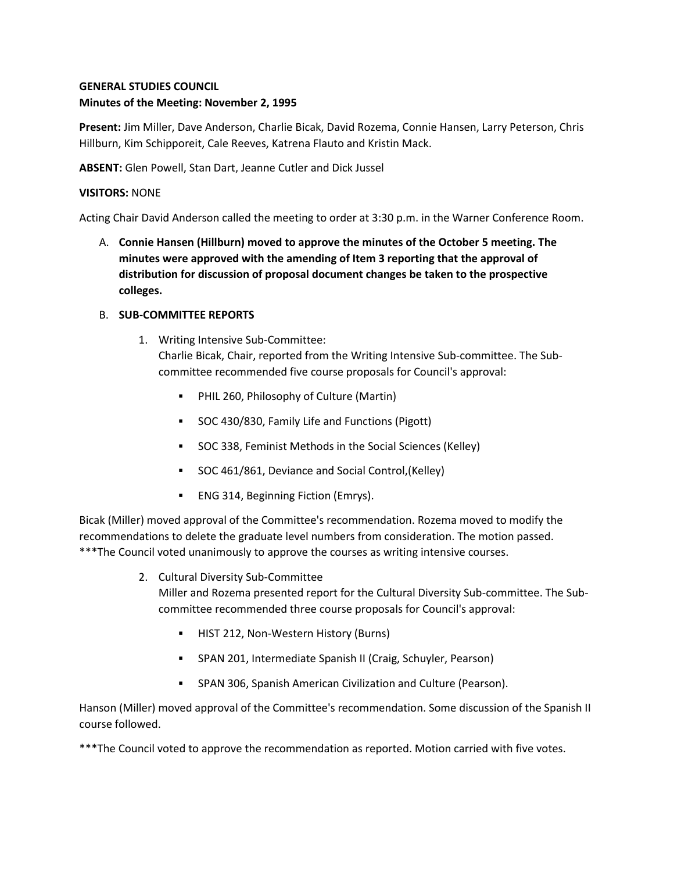# **GENERAL STUDIES COUNCIL Minutes of the Meeting: November 2, 1995**

**Present:** Jim Miller, Dave Anderson, Charlie Bicak, David Rozema, Connie Hansen, Larry Peterson, Chris Hillburn, Kim Schipporeit, Cale Reeves, Katrena Flauto and Kristin Mack.

**ABSENT:** Glen Powell, Stan Dart, Jeanne Cutler and Dick Jussel

## **VISITORS:** NONE

Acting Chair David Anderson called the meeting to order at 3:30 p.m. in the Warner Conference Room.

A. **Connie Hansen (Hillburn) moved to approve the minutes of the October 5 meeting. The minutes were approved with the amending of Item 3 reporting that the approval of distribution for discussion of proposal document changes be taken to the prospective colleges.**

## B. **SUB-COMMITTEE REPORTS**

1. Writing Intensive Sub-Committee:

Charlie Bicak, Chair, reported from the Writing Intensive Sub-committee. The Subcommittee recommended five course proposals for Council's approval:

- PHIL 260, Philosophy of Culture (Martin)
- SOC 430/830, Family Life and Functions (Pigott)
- SOC 338, Feminist Methods in the Social Sciences (Kelley)
- SOC 461/861, Deviance and Social Control,(Kelley)
- ENG 314, Beginning Fiction (Emrys).

Bicak (Miller) moved approval of the Committee's recommendation. Rozema moved to modify the recommendations to delete the graduate level numbers from consideration. The motion passed. \*\*\*The Council voted unanimously to approve the courses as writing intensive courses.

- 2. Cultural Diversity Sub-Committee Miller and Rozema presented report for the Cultural Diversity Sub-committee. The Subcommittee recommended three course proposals for Council's approval:
	- HIST 212, Non-Western History (Burns)
	- SPAN 201, Intermediate Spanish II (Craig, Schuyler, Pearson)
	- SPAN 306, Spanish American Civilization and Culture (Pearson).

Hanson (Miller) moved approval of the Committee's recommendation. Some discussion of the Spanish II course followed.

\*\*\*The Council voted to approve the recommendation as reported. Motion carried with five votes.